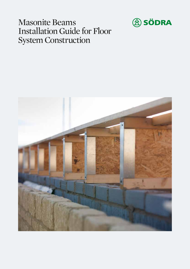## Masonite Beams Installation Guide for Floor System Construction



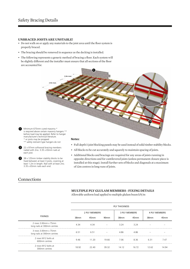## **UNBRACED JOISTS ARE UNSTABLE!**

- Do not walk on or apply any materials to the joist area until the floor system is properly braced.
- The bracing should be removed in sequence as the decking is installed.
- The following represents a generic method of bracing a floor. Each system will be slightly different and the installer must ensure that all sections of the floor are accounted for.



- Full depth I-joist blocking panels may be used instead of solid timber stability blocks.
- All blocks to be cut accurately and squarely to maintain spacing of joists.
- Additional blocks and bracings are required for any areas of joists running in opposite directions and for cantilevered joists (unless permanent closure piece is installed at this stage). Install further sets of blocks and diagonals at a maximum of 12m centres in long runs of joists.

## Connections

each joist.

2

\*\* safety restraint type hangers do not 22 x 97mm softwood bracing members nailed with 2no. 3.35 x 65mm nails at

3 38 x 125mm timber stability blocks to be fixed between at least 3 joists, covering at least 1.2m in length. Nail with at least 2no.

3.35 x 65mm nails each end.

## **MULTIPLE PLY GLULAM MEMBERS - FIXING DETAILS**

Allowable uniform load applied to multiple glulam beam kN/m

|                                                     |                  | <b>PLY THICKNESS</b> |                  |                  |                      |                  |                      |  |  |
|-----------------------------------------------------|------------------|----------------------|------------------|------------------|----------------------|------------------|----------------------|--|--|
|                                                     |                  | 2 PLY MEMBERS        |                  |                  | <b>3 PLY MEMBERS</b> |                  | <b>4 PLY MEMBERS</b> |  |  |
| <b>FIXINGS</b>                                      | 38 <sub>mm</sub> | 45 <sub>mm</sub>     | 90 <sub>mm</sub> | 38 <sub>mm</sub> | 45 <sub>mm</sub>     | 38 <sub>mm</sub> | 45 <sub>mm</sub>     |  |  |
| 2 rows 3.00mm x 75mm<br>long nails at 300mm centres | 4.34             | 4.34                 |                  | 3.24             | 3.24                 |                  |                      |  |  |
| 3 rows 3.00mm x 75mm<br>long nails at 300mm centres | 6.51             | 6.51                 | -                | 4.86             | 4.86                 |                  |                      |  |  |
| 2 rows M12 bolts at<br>600mm centres                | 9.46             | 11.20                | 19.66            | 7.06             | 8.36                 | 6.31             | 7.47                 |  |  |
| 2 rows M12 bolts at<br>300mm centres                | 18.92            | 22.40                | 39.32            | 14.12            | 16.72                | 12.62            | 14 94                |  |  |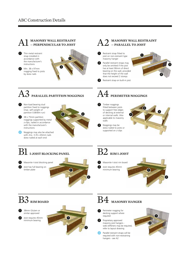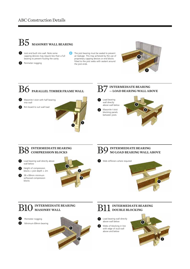# $B5$  masonry wall bearing

1 Joist end built into wall. Note some capping devices may require less than a full bearing to prevent fouling the cavity

2 Perimeter nogging

The joist bearing must be sealed to prevent air leakage. This may achieved by the use of proprietary capping devices or end blocks fitted to the joist webs with sealant around the joist ends.



# $B6$  parallel timber frame wall

Masonite I-Joist with half bearing into wall  $\bf o$ 

Rim board to suit wall load 2



*i*

## **INTERMEDIATE BEARING<br>- LOAD BEARING WALL ABOVE** Load bearing wall directly above wall below 1

blocking panels between joists



## **INTERMEDIATE BEARING** B8 INTERMEDIATE BEARING B9



2

3

wall below

Height of compression blocks = joist depth + 2m

38 x 89mm minimum softwood compression blocks



## **INTERMEDIATE BEARING NO LOAD BEARING WALL ABOVE**





## **INTERMEDIATE BEARING B10** INTERMEDIATE





## **B11 DOUBLE BLOCKING**

- Load bearing wall directly above wall below  $\mathbf 0$
- Webs of blocking in line with edge of stud wall above and below 2

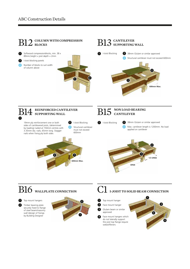

Face mount hangers which do not laterally support the joist top flange require

4

webstiffeners

4

wall (design of fixings by Building Designer

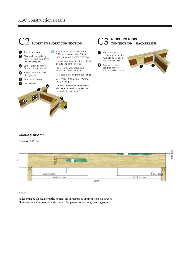# C2 **I-JOIST TO I-JOIST CONNECTION**

*i*



#### Top mount hanger **1** Backer blocks nailed with 10no. 3.75mm diameter nails x 75mm long, with ends clinched if possible.

For top mount hangers, backer block tight to top flange of joist.

For face mount hangers, backer block tight to bottom flange.

Filler blocks fitted tight to top flange.

Use 10no. 4.00mm nails x 90mm

Note that approved hangers which eliminate the need for backer blocks are available. See detail C3.

## **I-JOIST TO I-JOIST** C3 **CONNECTION — BACKERLESS**

Filler block or proprietary metal clips must still be installed with multiple joists

designed for use without backer blocks



## **GLULAM BEAMS**

### Based on BS5268



### **Notes:**

Holes must be placed along the neutral axis and spaced apart at least 3 x largest diameter hole. For holes outside these rules please contact engineering support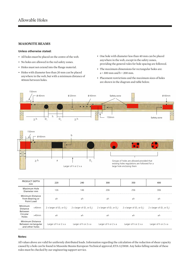## **MASONITE BEAMS**

## **Unless otherwise stated:**

- All holes must be placed on the centre of the web.
- No holes are allowed in the red safety zones.
- Holes must not extend into the flange material.
- Holes with diameter less than 20 mm can be placed anywhere in the web, but with a minimum distance of 40mm between holes.
- One hole with diameter less than 40 mm can be placed anywhere in the web, except in the safety zones, providing the general rules for hole spacing are followed.
- The maximum dimensions for rectangular holes are:  $a = 300$  mm and  $b = 200$  mm.
- Placement restrictions and the maximum sizes of holes are shown in the diagram and table below.





| PRODUCT DEPTH<br>mm                                               |       | 220 | 240                                                                                 | 300                                                                                                                                                                                           | 350                                       | 400 |
|-------------------------------------------------------------------|-------|-----|-------------------------------------------------------------------------------------|-----------------------------------------------------------------------------------------------------------------------------------------------------------------------------------------------|-------------------------------------------|-----|
| Maximum Hole<br>Diameter mm                                       |       | 126 | 146                                                                                 | 206                                                                                                                                                                                           | 256                                       | 306 |
| Minimum Distance<br>from Bearing or<br>Point Load                 |       | >h  | ≥r                                                                                  | ≥r                                                                                                                                                                                            | ≥r                                        | ≥ľ  |
| Minimum<br>Distance<br>Between<br>Circular<br>Holes               | <40mm |     |                                                                                     | 2 x larger of $(D_1 \text{ or } D_2)$ 2 x larger of $(D_1 \text{ or } D_2)$ 2 x larger of $(D_1 \text{ or } D_2)$ 2 x larger of $(D_1 \text{ or } D_2)$ 2 x larger of $(D_1 \text{ or } D_2)$ |                                           |     |
|                                                                   | >40mm | ≥h  | ≥h                                                                                  | >r                                                                                                                                                                                            | >r                                        | l≥h |
| <b>Minimum Distance</b><br>Between rectangular<br>and other holes |       |     | Larger of h or $2 \times a$ Larger of h or $2 \times a$ Larger of h or $2 \times a$ |                                                                                                                                                                                               | Larger of h or 2 x a Larger of h or 2 x a |     |

### **Notes:**

All values above are valid for uniformly distributed loads. Information regarding the calculation of the reduction of shear capacity caused by a hole can be found in Masonite Beams European Technical approval; ETA 12/0018. Any holes falling outside of these rules must be checked by our engineering support service.